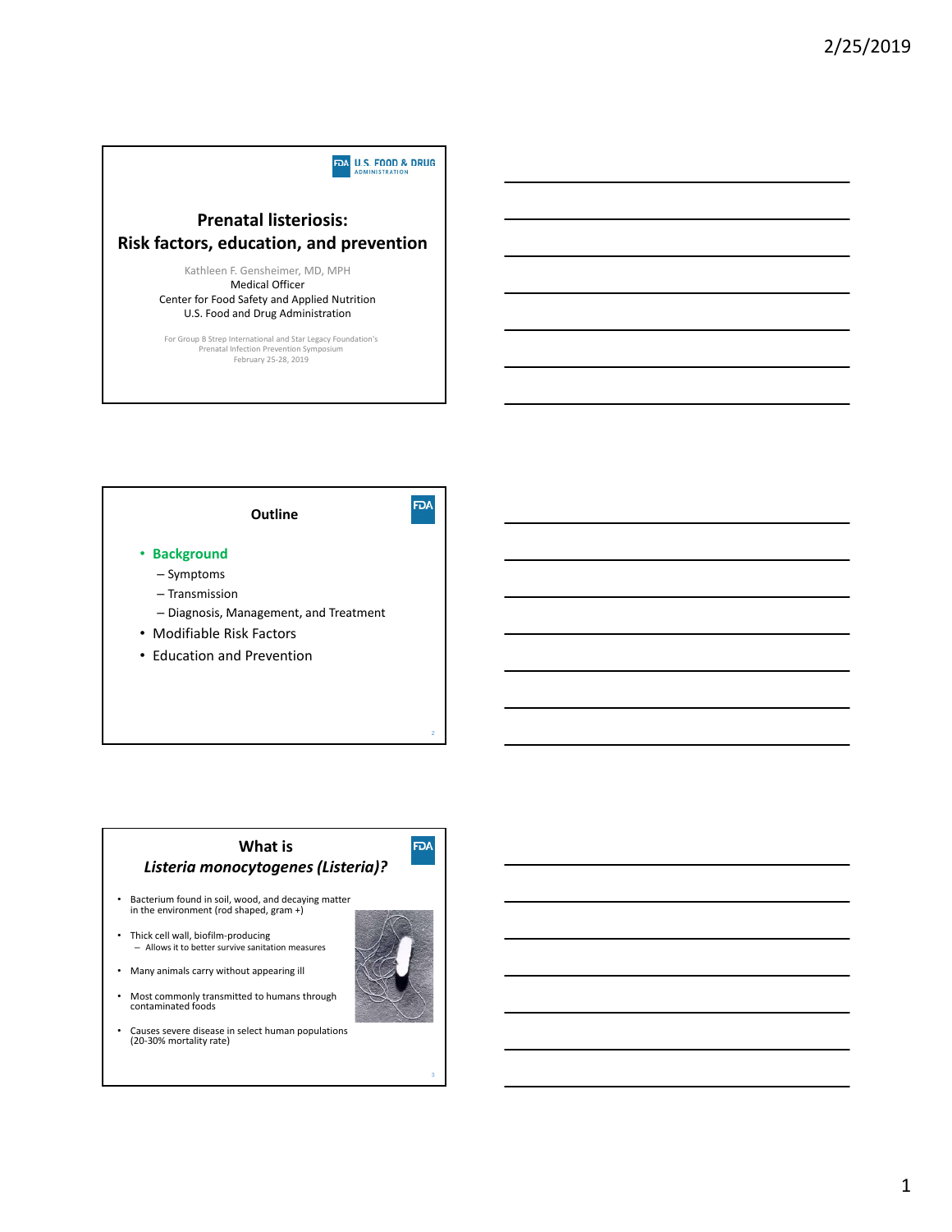

**Outline** • **Background** – Symptoms

- Transmission
- Diagnosis, Management, and Treatment
- Modifiable Risk Factors
- Education and Prevention

# **What is** *Listeria monocytogenes (Listeria)?*

- Bacterium found in soil, wood, and decaying matter in the environment (rod shaped, gram +)
- Thick cell wall, biofilm‐producing – Allows it to better survive sanitation measures
- Many animals carry without appearing ill
- Most commonly transmitted to humans through contaminated foods
- Causes severe disease in select human populations (20‐30% mortality rate)



**FDA** 

**FDA**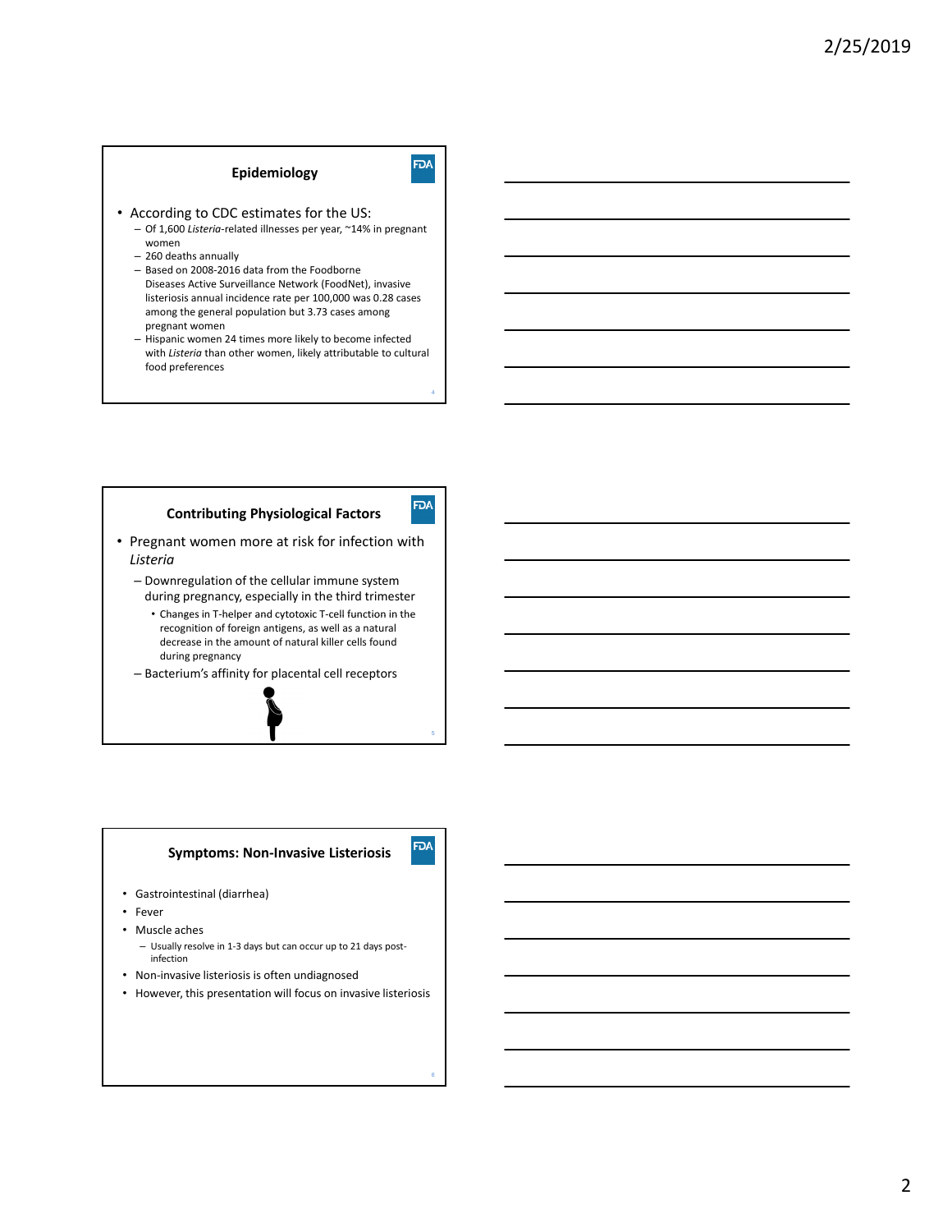# **Epidemiology**

4

**FDA** 

**FDA** 

6

**FDA** 

- According to CDC estimates for the US: – Of 1,600 *Listeria*‐related illnesses per year, ~14% in pregnant
	- women – 260 deaths annually
	- Based on 2008‐2016 data from the Foodborne Diseases Active Surveillance Network (FoodNet), invasive listeriosis annual incidence rate per 100,000 was 0.28 cases among the general population but 3.73 cases among pregnant women
	- Hispanic women 24 times more likely to become infected with *Listeria* than other women, likely attributable to cultural food preferences

# **Contributing Physiological Factors**

- Pregnant women more at risk for infection with *Listeria*
	- Downregulation of the cellular immune system during pregnancy, especially in the third trimester
		- Changes in T‐helper and cytotoxic T‐cell function in the recognition of foreign antigens, as well as a natural decrease in the amount of natural killer cells found during pregnancy
	- Bacterium's affinity for placental cell receptors

# **Symptoms: Non‐Invasive Listeriosis**

- Gastrointestinal (diarrhea)
- **Fever**
- Muscle aches
	- Usually resolve in 1‐3 days but can occur up to 21 days post‐ infection
- Non‐invasive listeriosis is often undiagnosed
- However, this presentation will focus on invasive listeriosis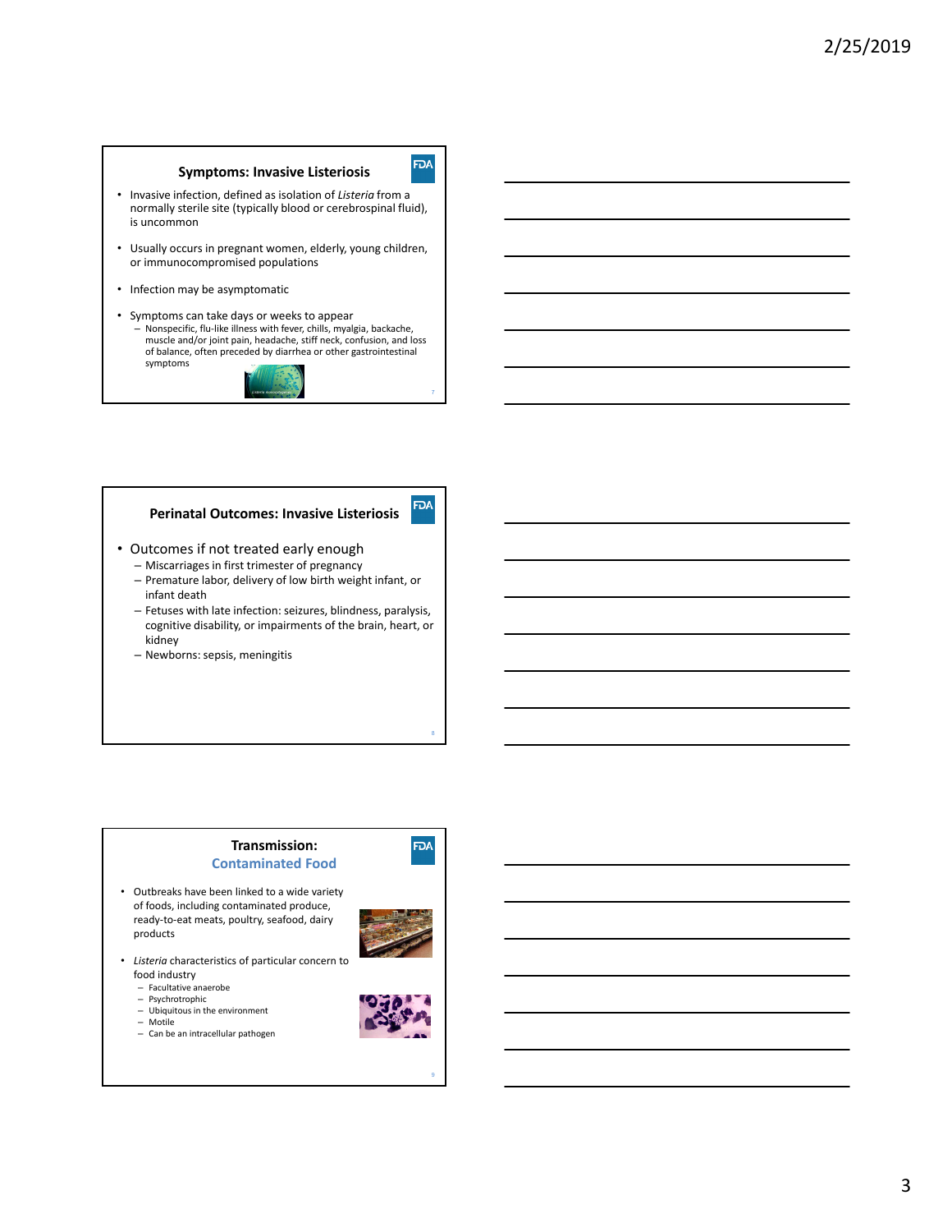# **Symptoms: Invasive Listeriosis**

• Invasive infection, defined as isolation of *Listeria* from a normally sterile site (typically blood or cerebrospinal fluid), is uncommon

- Usually occurs in pregnant women, elderly, young children, or immunocompromised populations
- Infection may be asymptomatic
- Symptoms can take days or weeks to appear Nonspecific, flu‐like illness with fever, chills, myalgia, backache, muscle and/or joint pain, headache, stiff neck, confusion, and loss of balance, often preceded by diarrhea or other gastrointestinal symptoms



## **Perinatal Outcomes: Invasive Listeriosis**

- Outcomes if not treated early enough
	- Miscarriages in first trimester of pregnancy
	- Premature labor, delivery of low birth weight infant, or infant death
	- Fetuses with late infection: seizures, blindness, paralysis, cognitive disability, or impairments of the brain, heart, or kidney
	- Newborns: sepsis, meningitis

# **Transmission: Contaminated Food**

- Outbreaks have been linked to a wide variety of foods, including contaminated produce, ready‐to‐eat meats, poultry, seafood, dairy products
- 

8

**FDA** 

**FDA** 

**FDA** 

- Listeria characteristics of particular concern to food industry
	- Facultative anaerobe
	- Psychrotrophic
	- Ubiquitous in the environment – Motile
	- Can be an intracellular pathogen



9

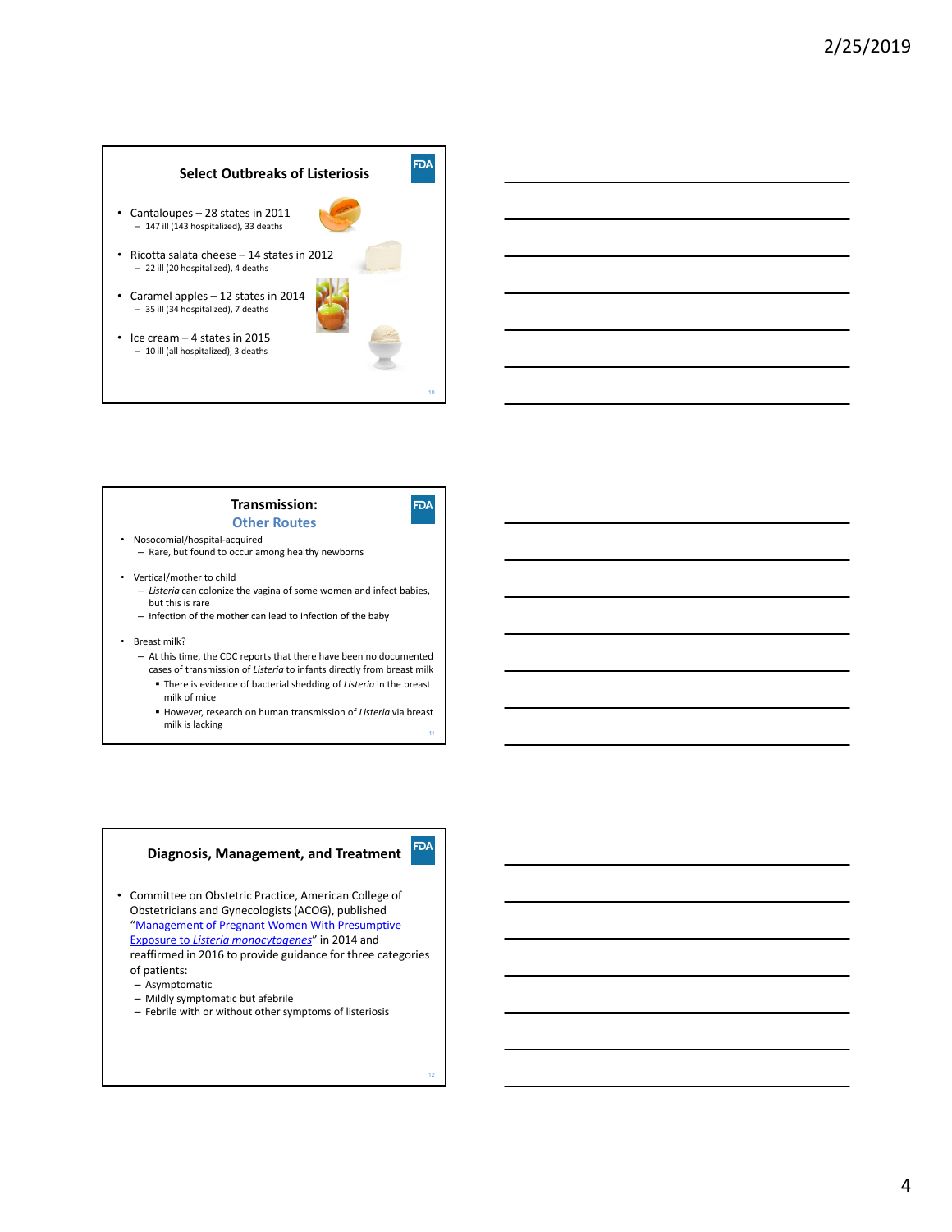# **FDA Select Outbreaks of Listeriosis** • Cantaloupes – 28 states in 2011 – 147 ill (143 hospitalized), 33 deaths • Ricotta salata cheese – 14 states in 2012 – 22 ill (20 hospitalized), 4 deaths • Caramel apples – 12 states in 2014

– 35 ill (34 hospitalized), 7 deaths • Ice cream – 4 states in 2015 – 10 ill (all hospitalized), 3 deaths





### **Transmission: Other Routes**



10

- Nosocomial/hospital‐acquired – Rare, but found to occur among healthy newborns
- Vertical/mother to child
	- *Listeria* can colonize the vagina of some women and infect babies, but this is rare
	- Infection of the mother can lead to infection of the baby
- Breast milk?
	- At this time, the CDC reports that there have been no documented
	- cases of transmission of *Listeria* to infants directly from breast milk There is evidence of bacterial shedding of *Listeria* in the breast
	- milk of mice However, research on human transmission of *Listeria* via breast
	- milk is lacking

## **Diagnosis, Management, and Treatment**

- Committee on Obstetric Practice, American College of Obstetricians and Gynecologists(ACOG), published "Management of Pregnant Women With Presumptive Exposure to *Listeria monocytogenes*" in 2014 and reaffirmed in 2016 to provide guidance for three categories of patients:
	- Asymptomatic – Mildly symptomatic but afebrile
	- Febrile with or without other symptoms of listeriosis
		-

**FDA**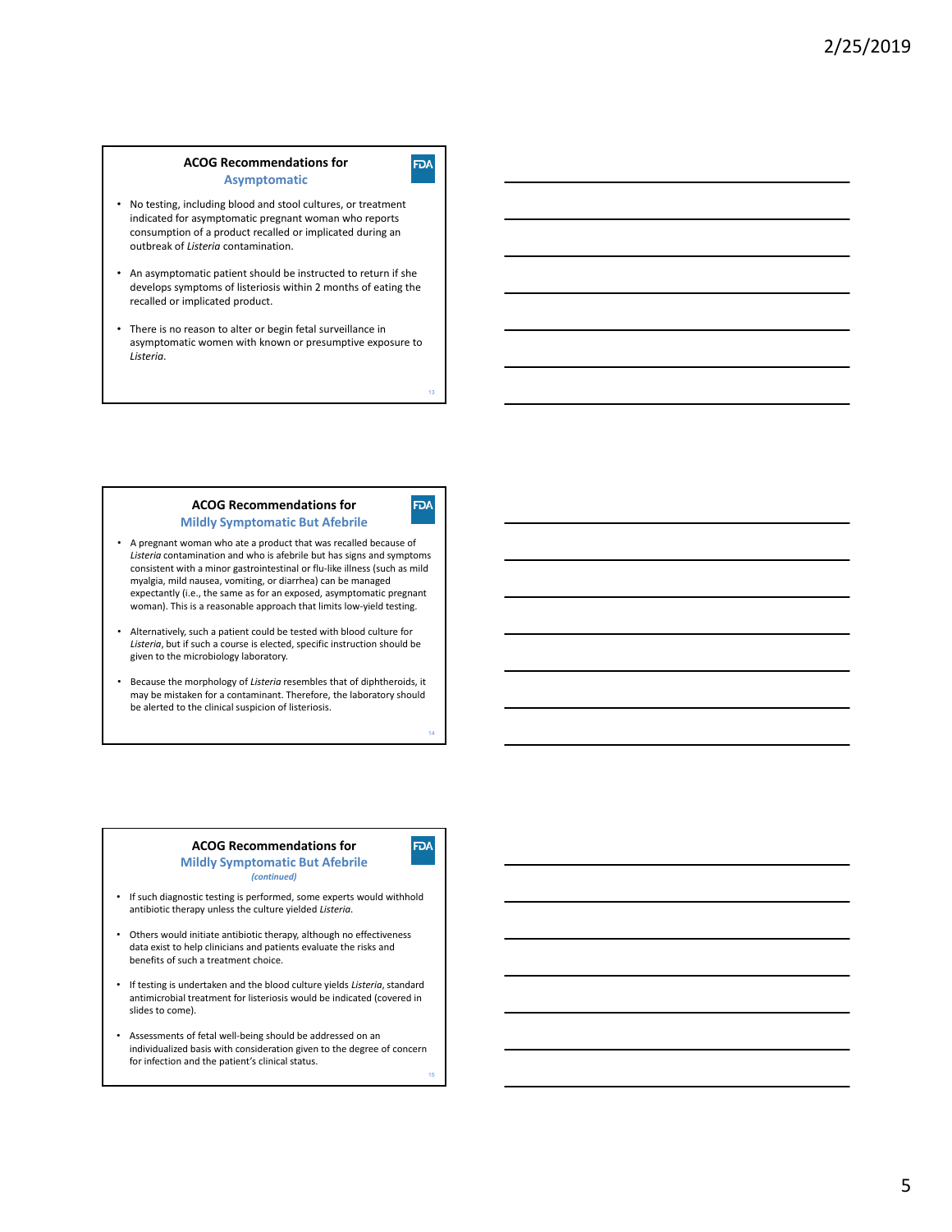#### **ACOG Recommendations for Asymptomatic**

- No testing, including blood and stool cultures, or treatment indicated for asymptomatic pregnant woman who reports consumption of a product recalled or implicated during an outbreak of *Listeria* contamination.
- An asymptomatic patient should be instructed to return if she develops symptoms of listeriosis within 2 months of eating the recalled or implicated product.
- There is no reason to alter or begin fetal surveillance in asymptomatic women with known or presumptive exposure to *Listeria*.

#### **ACOG Recommendations for Mildly Symptomatic But Afebrile**



13

**FDA** 

14

**FDA** 

- A pregnant woman who ate a product that was recalled because of *Listeria* contamination and who is afebrile but has signs and symptoms consistent with a minor gastrointestinal or flu‐like illness (such as mild myalgia, mild nausea, vomiting, or diarrhea) can be managed expectantly (i.e., the same as for an exposed, asymptomatic pregnant woman). This is a reasonable approach that limits low-yield testing.
- Alternatively, such a patient could be tested with blood culture for *Listeria*, but if such a course is elected, specific instruction should be given to the microbiology laboratory.
- Because the morphology of *Listeria* resembles that of diphtheroids, it may be mistaken for a contaminant. Therefore, the laboratory should be alerted to the clinical suspicion of listeriosis.

#### **ACOG Recommendations for Mildly Symptomatic But Afebrile** *(continued)*

- If such diagnostic testing is performed, some experts would withhold antibiotic therapy unless the culture yielded *Listeria*.
- Others would initiate antibiotic therapy, although no effectiveness data exist to help clinicians and patients evaluate the risks and benefits of such a treatment choice.
- If testing is undertaken and the blood culture yields *Listeria*, standard antimicrobial treatment for listeriosis would be indicated (covered in slides to come).
- Assessments of fetal well‐being should be addressed on an individualized basis with consideration given to the degree of concern for infection and the patient's clinical status.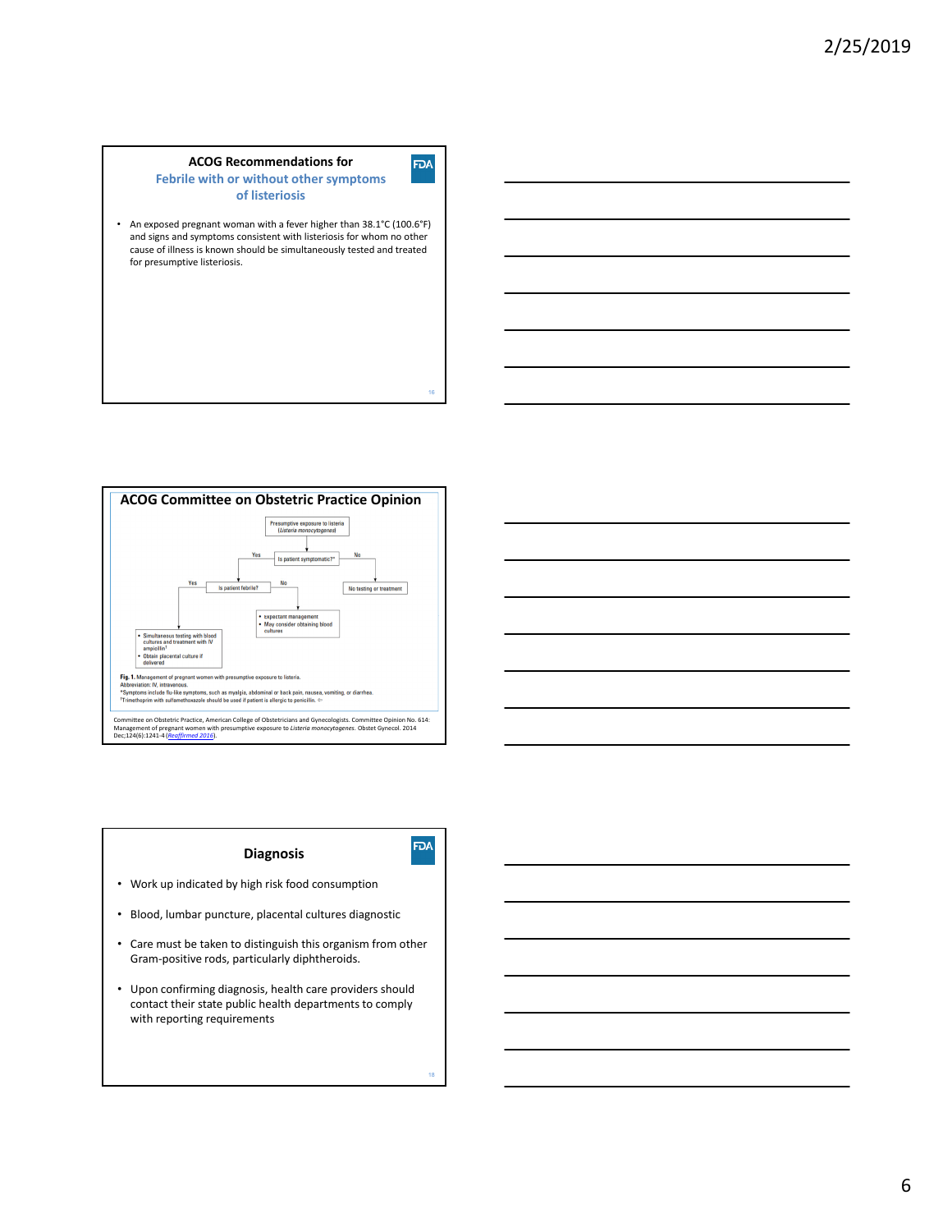

• An exposed pregnant woman with a fever higher than 38.1°C (100.6°F) and signs and symptoms consistent with listeriosis for whom no other cause of illness is known should be simultaneously tested and treated for presumptive listeriosis.





- Work up indicated by high risk food consumption
- Blood, lumbar puncture, placental cultures diagnostic
- Care must be taken to distinguish this organism from other Gram-positive rods, particularly diphtheroids.
- Upon confirming diagnosis, health care providers should contact their state public health departments to comply with reporting requirements

**FDA** 

16

**FDA**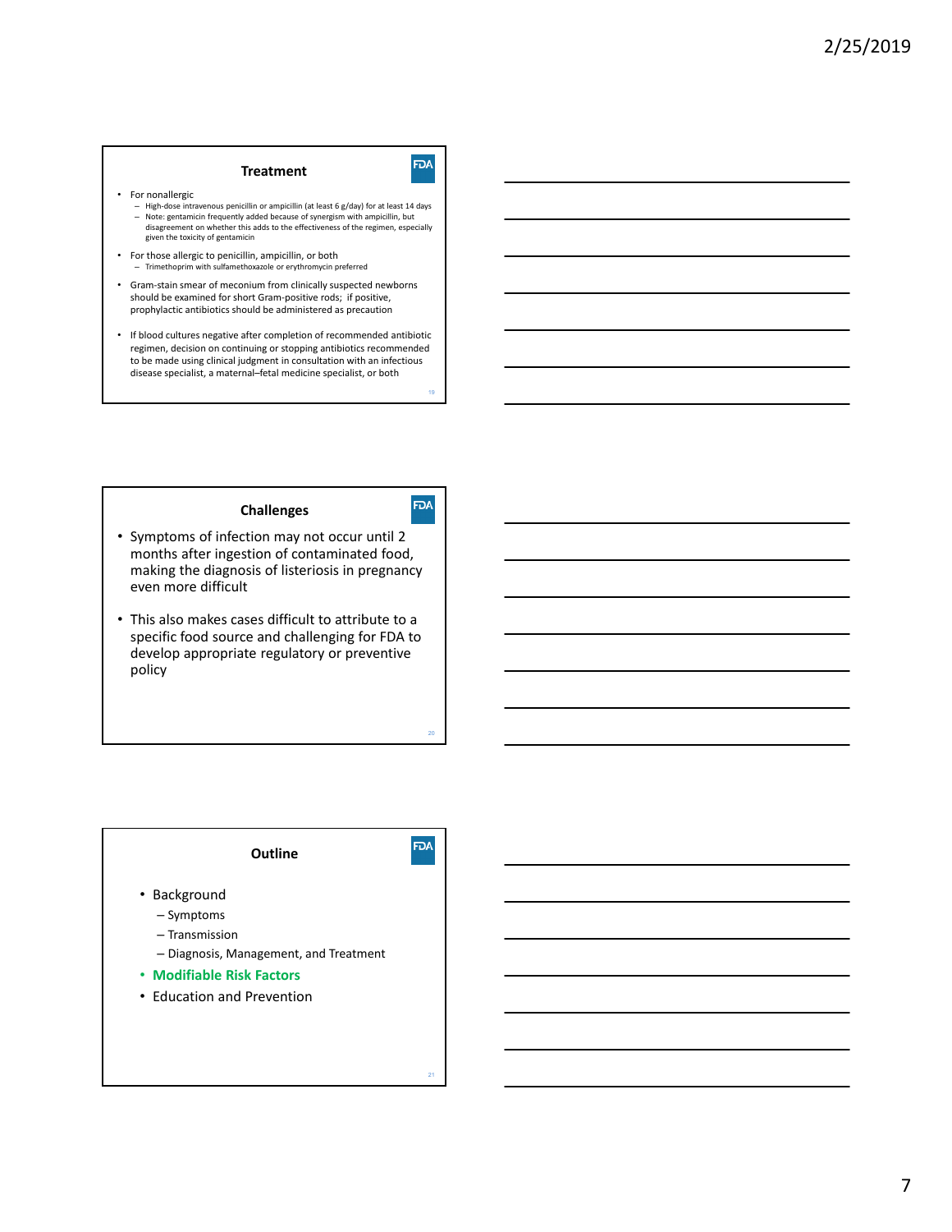# **Treatment**

- For nonallergic
	- High‐dose intravenous penicillin or ampicillin (at least 6 g/day) for at least 14 days – Note: gentamicin frequently added because of synergism with ampicillin, but disagreement on whether this adds to the effectiveness of the regimen, especially given the toxicity of gentamicin
- For those allergic to penicillin, ampicillin, or both – Trimethoprim with sulfamethoxazole or erythromycin preferred
- Gram‐stain smear of meconium from clinically suspected newborns should be examined for short Gram‐positive rods; if positive, prophylactic antibiotics should be administered as precaution
- If blood cultures negative after completion of recommended antibiotic regimen, decision on continuing or stopping antibiotics recommended to be made using clinical judgment in consultation with an infectious disease specialist, a maternal–fetal medicine specialist, or both

19

**FDA** 

**FDA** 

20

# **Challenges**

- Symptoms of infection may not occur until 2 months after ingestion of contaminated food, making the diagnosis of listeriosis in pregnancy even more difficult
- This also makes cases difficult to attribute to a specific food source and challenging for FDA to develop appropriate regulatory or preventive policy

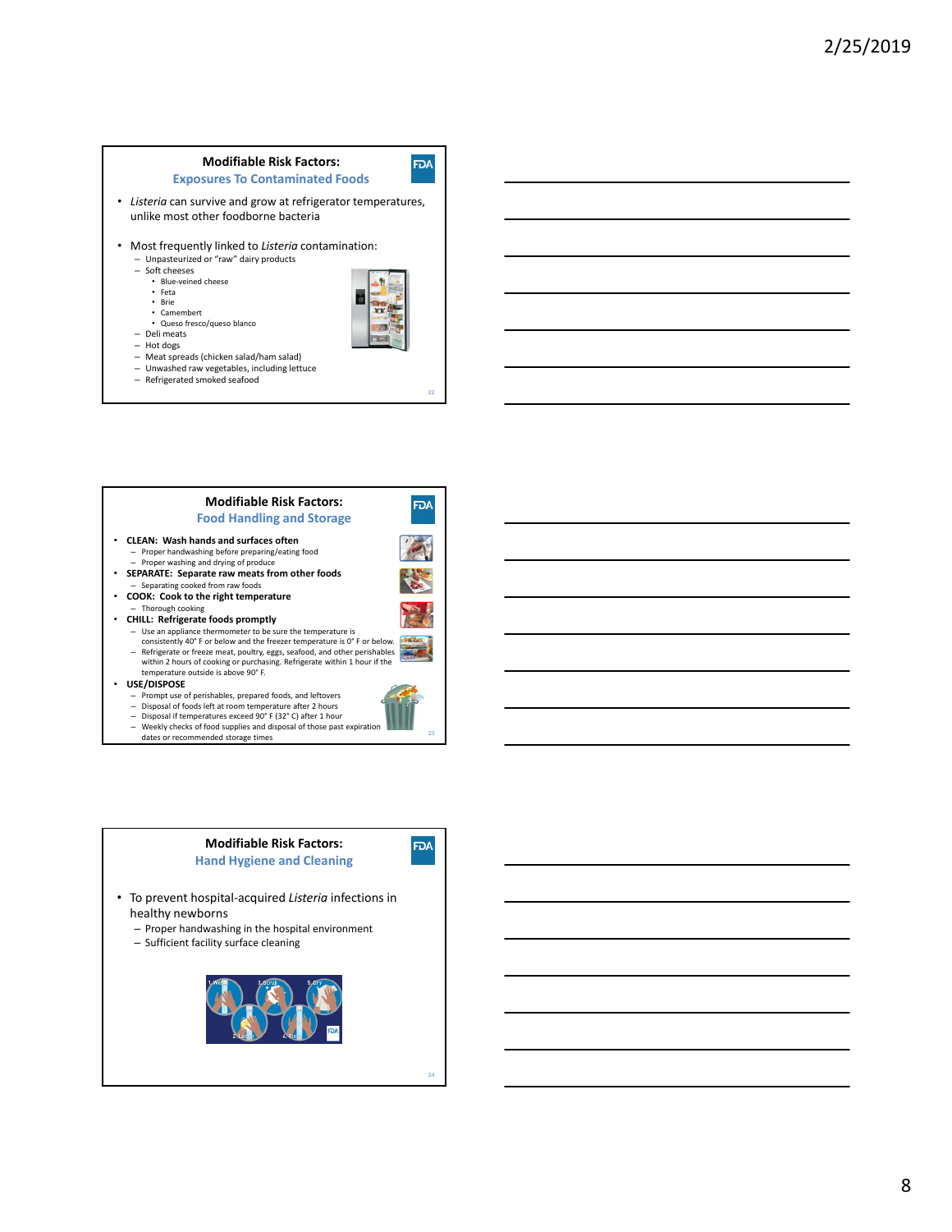#### **Modifiable Risk Factors: Exposures To Contaminated Foods**

• *Listeria* can survive and grow at refrigerator temperatures, unlike most other foodborne bacteria

- Most frequently linked to *Listeria* contamination: – Unpasteurized or "raw" dairy products
	- Soft cheeses
	- Blue‐veined cheese • Feta
- 

**FDA** 

**FDA** 

– Deli meats – Hot dogs

• Brie • Camembert • Queso fresco/queso blanco

- Meat spreads (chicken salad/ham salad)
- Unwashed raw vegetables, including lettuce
- Refrigerated smoked seafood

# **Modifiable Risk Factors: Food Handling and Storage**

- **CLEAN: Wash hands and surfaces often** – Proper handwashing before preparing/eating food – Proper washing and drying of produce
- **SEPARATE: Separate raw meats from other foods** – Separating cooked from raw foods
- **COOK: Cook to the right temperature**
- Thorough cooking • **CHILL: Refrigerate foods promptly**
- - Use an appliance thermometer to be sure the temperature is consistently 40° F or below and the freezer temperature is 0° F or below. – Refrigerate or freeze meat, poultry, eggs, seafood, and other perishables within 2 hours of cooking or purchasing. Refrigerate within 1 hour if the
- temperature outside is above 90° F. • **USE/DISPOSE**
	-
	- Prompt use of perishables, prepared foods, and leftovers Disposal of foods left at room temperature after 2 hours
	-
	- Disposal if temperatures exceed 90° F (32° C) after 1 hour Weekly checks of food supplies and disposal of those past expiration dates or recommended storage times
	-







8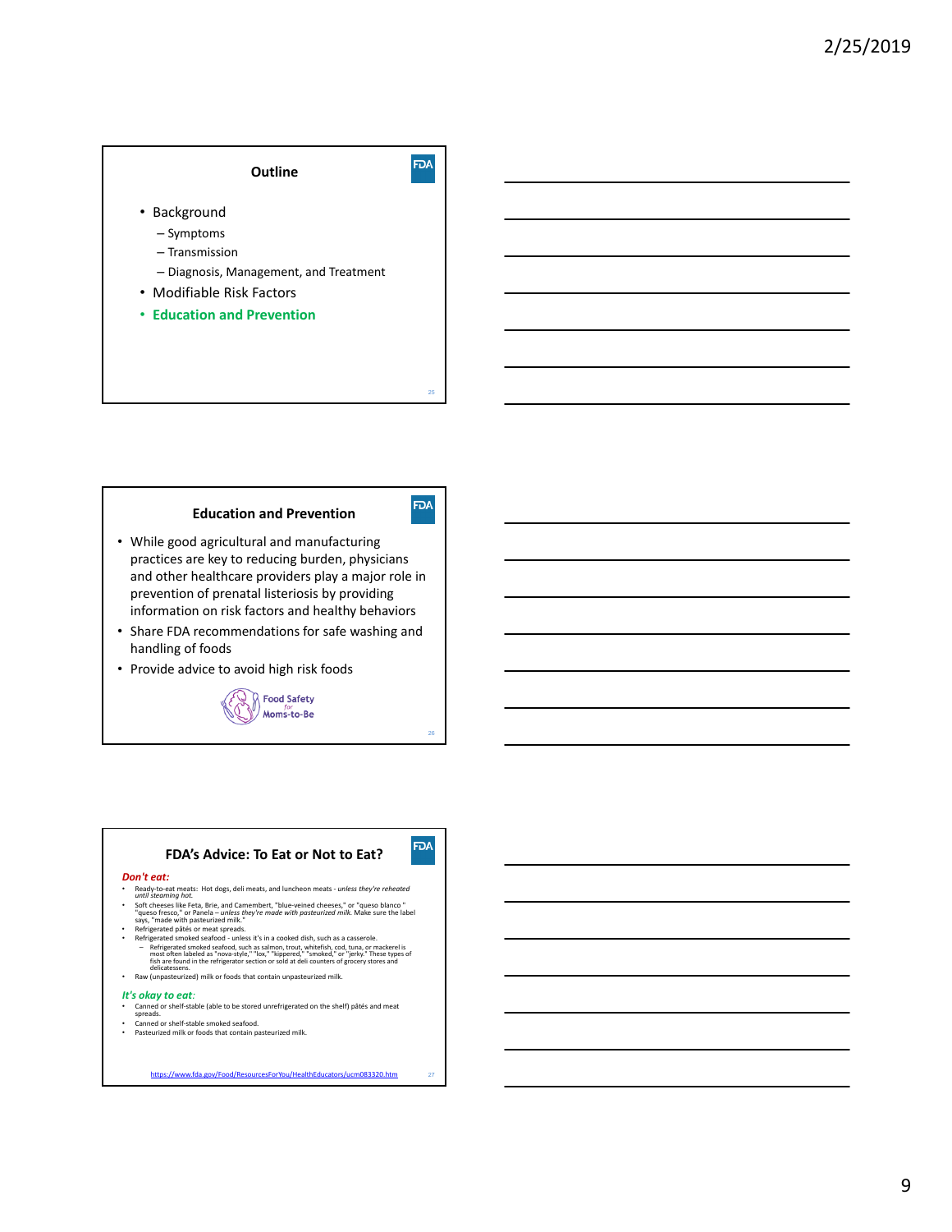

# **Education and Prevention**

- While good agricultural and manufacturing practices are key to reducing burden, physicians and other healthcare providers play a major role in prevention of prenatal listeriosis by providing information on risk factors and healthy behaviors
- Share FDA recommendations for safe washing and handling of foods
- Provide advice to avoid high risk foods



26

**FDA** 

**FDA** 

# **FDA's Advice: To Eat or Not to Eat?**

#### *Don't eat:*

- Ready‐to‐eat meats: Hot dogs, deli meats, and luncheon meats ‐ *unless they're reheated until steaming hot.*
- onto steeming not.<br>Soft cheeses like Feta, Brie, and Camembert, "blue-veined cheeses," or "queso blanco "<br>"queso fresco," or Panela unless they're made with posteurized milk. Make sure the label<br>says, "made with pasteuri
- Refrigerated pâtés or meat spreads.<br>
Refrigerated smoked seafood unless it's in a cooked dish, such as a casserole.<br>
 Refrigerated smoked seafood such as salmon, trout, whitefiels, cod, tuna, or most often labeled a
- Raw (unpasteurized) milk or foods that contain unpasteurized milk.

#### *It's okay to eat:*

- Canned or shelf-stable (able to be stored unrefrigerated on the shelf) pâtés and meat
- 
- Canned or shelf‐stable smoked seafood. Pasteurized milk or foods that contain pasteurized milk.

https://www.fda.gov/Food/ResourcesForYou/HealthEducators/ucm083320.htm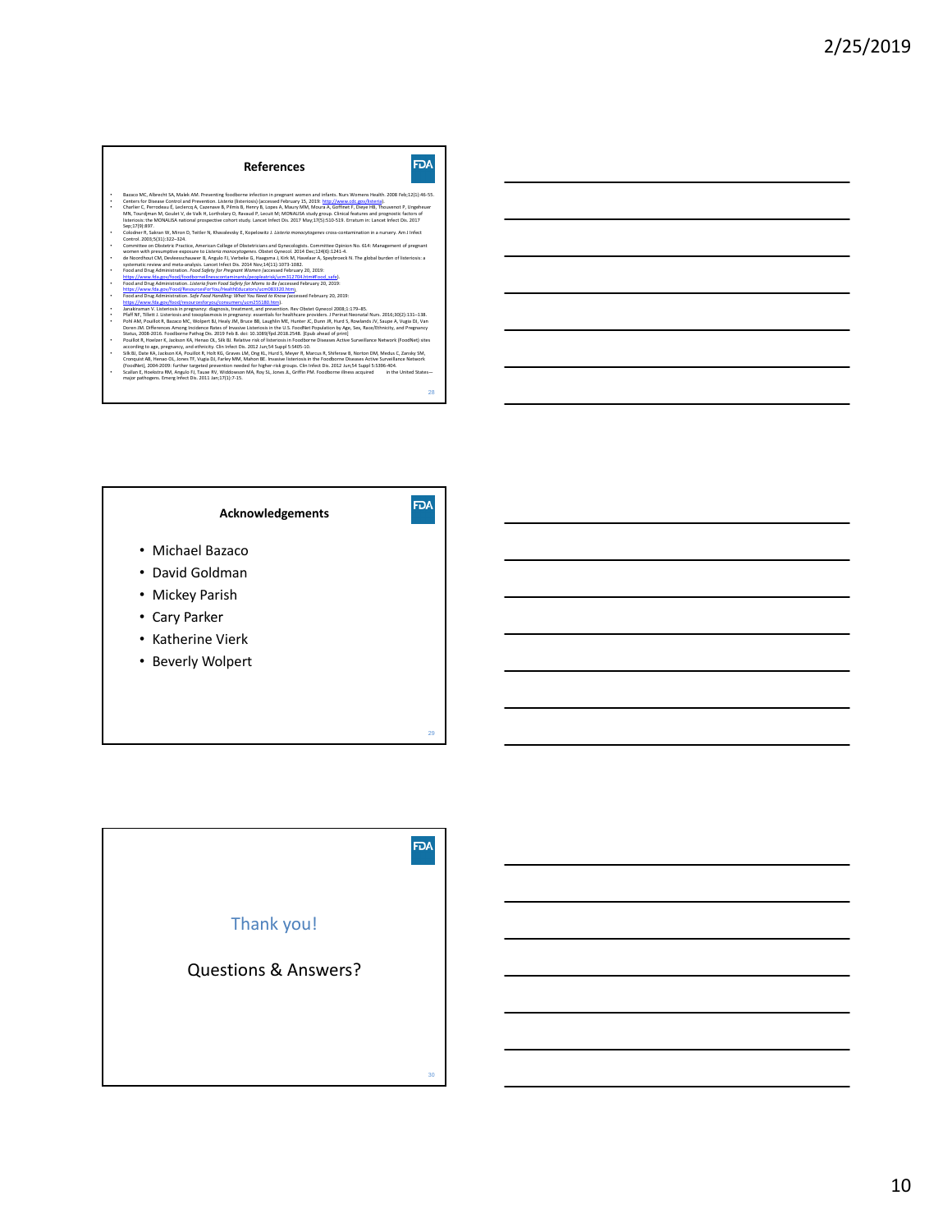